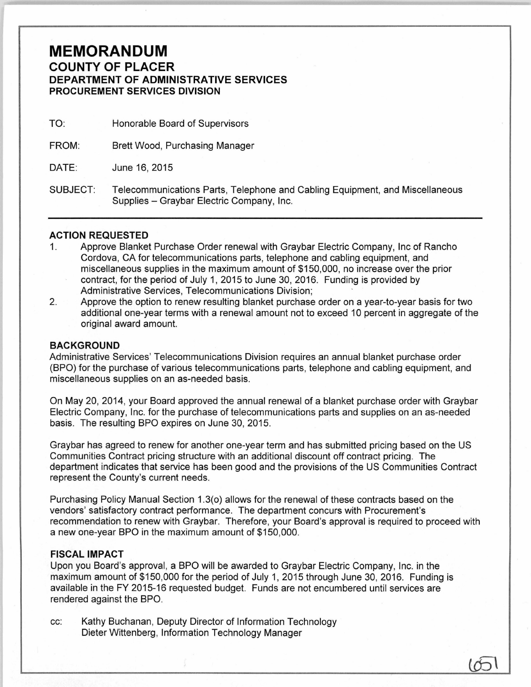## **MEMORANDUM COUNTY OF PLACER DEPARTMENT OF ADMINISTRATIVE SERVICES PROCUREMENT SERVICES DIVISION**

TO: Honorable Board of Supervisors

FROM: Brett Wood, Purchasing Manager

DATE: June 16, 2015

SUBJECT: Telecommunications Parts, Telephone and Cabling Equipment, and Miscellaneous Supplies- Graybar Electric Company, Inc.

## **ACTION REQUESTED**

1. Approve Blanket Purchase Order renewal with Graybar Electric Company, Inc of Rancho Cordova, CA for telecommunications parts, telephone and cabling equipment, and miscellaneous supplies in the maximum amount of \$150,000, no increase over the prior contract, for the period of July 1, 2015 to June 30, 2016. Funding is provided by Administrative Services, Telecommunications Division;

2. Approve the option to renew resulting blanket purchase order on a year-to-year basis for two additional one-year terms with a renewal amount not to exceed 10 percent in aggregate of the original award amount.

## **BACKGROUND**

Administrative Services' Telecommunications Division requires an annual blanket purchase order (BPO) for the purchase of various telecommunications parts, telephone and cabling equipment, and miscellaneous supplies on an as-needed basis.

On May 20, 2014, your Board approved the annual renewal of a blanket purchase order with Graybar Electric Company, Inc. for the purchase of telecommunications parts and supplies on an as-needed basis. The resulting BPO expires on June 30, 2015.

Graybar has agreed to renew for another one-year term and has submitted pricing based on the US Communities Contract pricing structure with an additional discount off contract pricing. The department indicates that service has been good and the provisions of the US Communities Contract represent the County's current needs.

Purchasing Policy Manual Section 1.3(o) allows for the renewal of these contracts based on the vendors' satisfactory contract performance. The department concurs with Procurement's recommendation to renew with Graybar. Therefore, your Board's approval is required to proceed with a new one-year BPO in the maximum amount of \$150,000.

## **FISCAL IMPACT**

Upon you Board's approval, a BPO will be awarded to Graybar Electric Company, Inc. in the maximum amount of \$150,000 for the period of July 1, 2015 through June 30, 2016. Funding is available in the FY 2015-16 requested budget. Funds are not encumbered until services are rendered against the BPO.

cc: Kathy Buchanan, Deputy Director of Information Technology Dieter Wittenberg, Information Technology Manager